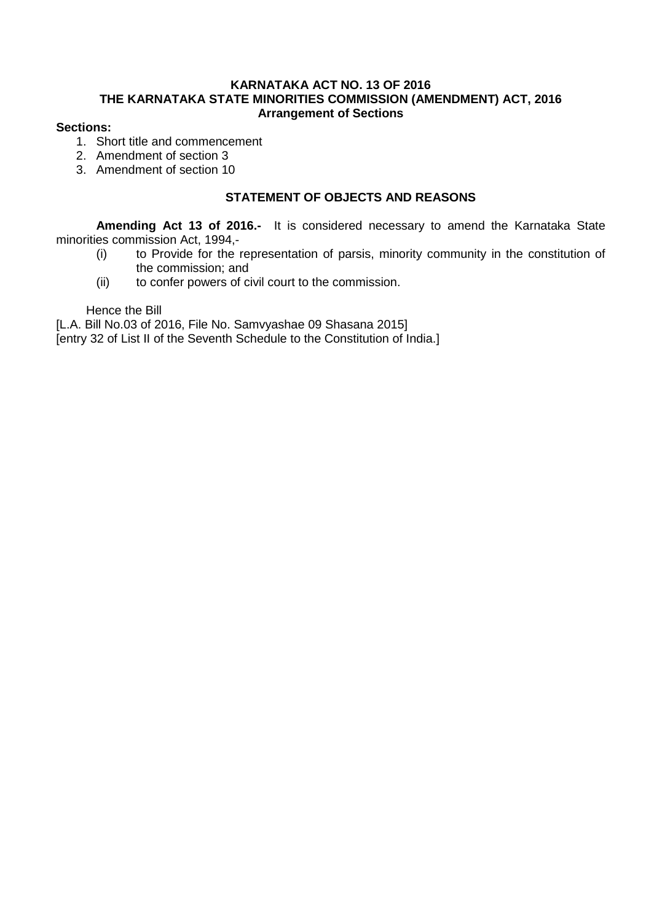### **KARNATAKA ACT NO. 13 OF 2016 THE KARNATAKA STATE MINORITIES COMMISSION (AMENDMENT) ACT, 2016 Arrangement of Sections**

## **Sections:**

- 1. Short title and commencement
- 2. Amendment of section 3
- 3. Amendment of section 10

### **STATEMENT OF OBJECTS AND REASONS**

**Amending Act 13 of 2016.-** It is considered necessary to amend the Karnataka State minorities commission Act, 1994,-

- (i) to Provide for the representation of parsis, minority community in the constitution of the commission; and
- (ii) to confer powers of civil court to the commission.

Hence the Bill

[L.A. Bill No.03 of 2016, File No. Samvyashae 09 Shasana 2015]

[entry 32 of List II of the Seventh Schedule to the Constitution of India.]